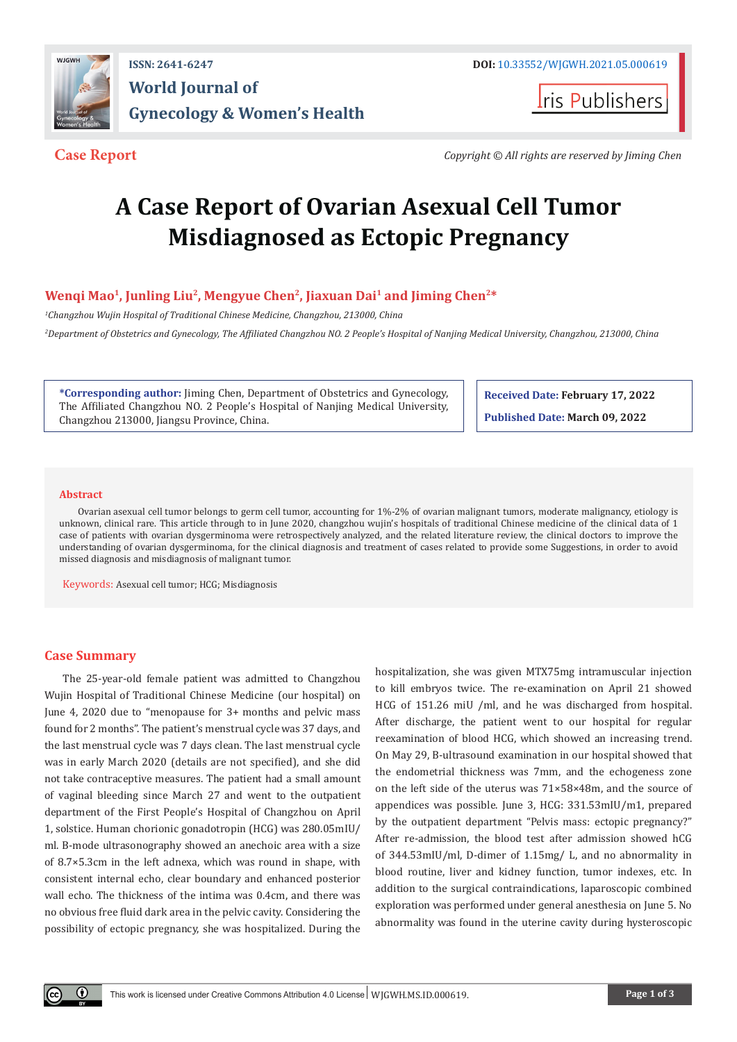

**I**ris Publishers

**Case Report** *Copyright © All rights are reserved by Jiming Chen*

# **A Case Report of Ovarian Asexual Cell Tumor Misdiagnosed as Ectopic Pregnancy**

# **Wenqi Mao1, Junling Liu2, Mengyue Chen2, Jiaxuan Dai1 and Jiming Chen2\***

*1 Changzhou Wujin Hospital of Traditional Chinese Medicine, Changzhou, 213000, China 2 Department of Obstetrics and Gynecology, The Affiliated Changzhou NO. 2 People's Hospital of Nanjing Medical University, Changzhou, 213000, China*

**\*Corresponding author:** Jiming Chen, Department of Obstetrics and Gynecology, The Affiliated Changzhou NO. 2 People's Hospital of Nanjing Medical University, Changzhou 213000, Jiangsu Province, China.

**Received Date: February 17, 2022 Published Date: March 09, 2022**

#### **Abstract**

Ovarian asexual cell tumor belongs to germ cell tumor, accounting for 1%-2% of ovarian malignant tumors, moderate malignancy, etiology is unknown, clinical rare. This article through to in June 2020, changzhou wujin's hospitals of traditional Chinese medicine of the clinical data of 1 case of patients with ovarian dysgerminoma were retrospectively analyzed, and the related literature review, the clinical doctors to improve the understanding of ovarian dysgerminoma, for the clinical diagnosis and treatment of cases related to provide some Suggestions, in order to avoid missed diagnosis and misdiagnosis of malignant tumor.

Keywords: Asexual cell tumor; HCG; Misdiagnosis

# **Case Summary**

The 25-year-old female patient was admitted to Changzhou Wujin Hospital of Traditional Chinese Medicine (our hospital) on June 4, 2020 due to "menopause for 3+ months and pelvic mass found for 2 months". The patient's menstrual cycle was 37 days, and the last menstrual cycle was 7 days clean. The last menstrual cycle was in early March 2020 (details are not specified), and she did not take contraceptive measures. The patient had a small amount of vaginal bleeding since March 27 and went to the outpatient department of the First People's Hospital of Changzhou on April 1, solstice. Human chorionic gonadotropin (HCG) was 280.05mIU/ ml. B-mode ultrasonography showed an anechoic area with a size of 8.7×5.3cm in the left adnexa, which was round in shape, with consistent internal echo, clear boundary and enhanced posterior wall echo. The thickness of the intima was 0.4cm, and there was no obvious free fluid dark area in the pelvic cavity. Considering the possibility of ectopic pregnancy, she was hospitalized. During the

hospitalization, she was given MTX75mg intramuscular injection to kill embryos twice. The re-examination on April 21 showed HCG of 151.26 miU /ml, and he was discharged from hospital. After discharge, the patient went to our hospital for regular reexamination of blood HCG, which showed an increasing trend. On May 29, B-ultrasound examination in our hospital showed that the endometrial thickness was 7mm, and the echogeness zone on the left side of the uterus was 71×58×48m, and the source of appendices was possible. June 3, HCG: 331.53mIU/m1, prepared by the outpatient department "Pelvis mass: ectopic pregnancy?" After re-admission, the blood test after admission showed hCG of 344.53mIU/ml, D-dimer of 1.15mg/ L, and no abnormality in blood routine, liver and kidney function, tumor indexes, etc. In addition to the surgical contraindications, laparoscopic combined exploration was performed under general anesthesia on June 5. No abnormality was found in the uterine cavity during hysteroscopic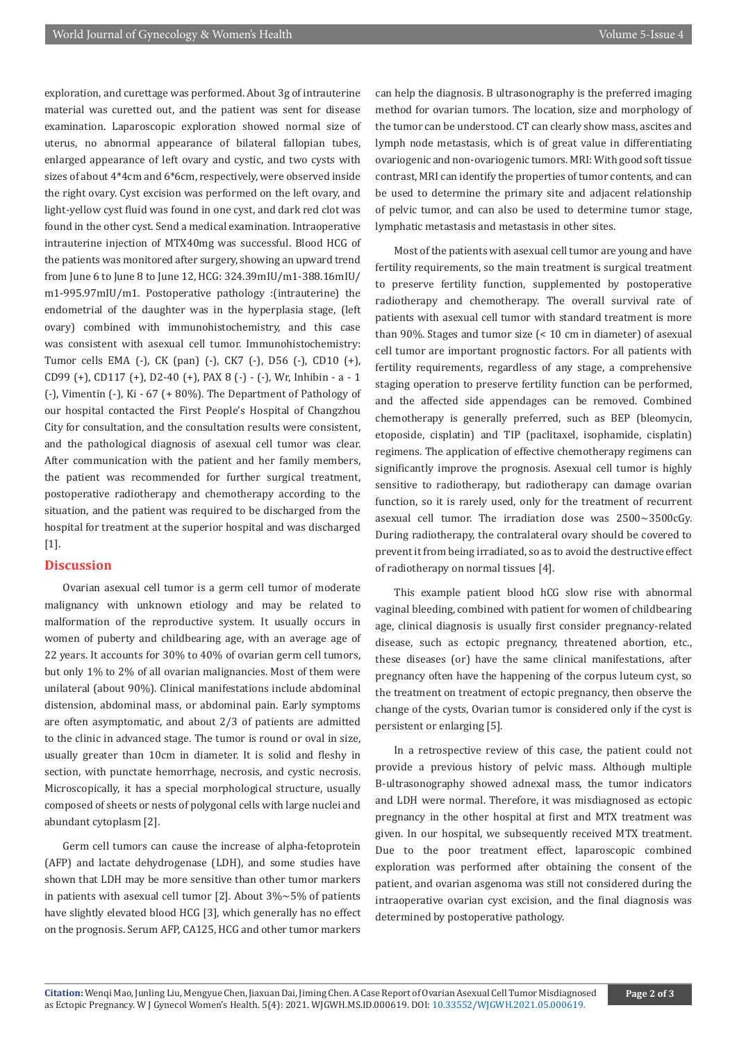exploration, and curettage was performed. About 3g of intrauterine material was curetted out, and the patient was sent for disease examination. Laparoscopic exploration showed normal size of uterus, no abnormal appearance of bilateral fallopian tubes, enlarged appearance of left ovary and cystic, and two cysts with sizes of about 4\*4cm and 6\*6cm, respectively, were observed inside the right ovary. Cyst excision was performed on the left ovary, and light-yellow cyst fluid was found in one cyst, and dark red clot was found in the other cyst. Send a medical examination. Intraoperative intrauterine injection of MTX40mg was successful. Blood HCG of the patients was monitored after surgery, showing an upward trend from June 6 to June 8 to June 12, HCG: 324.39mIU/m1-388.16mIU/ m1-995.97mIU/m1. Postoperative pathology :(intrauterine) the endometrial of the daughter was in the hyperplasia stage, (left ovary) combined with immunohistochemistry, and this case was consistent with asexual cell tumor. Immunohistochemistry: Tumor cells EMA (-), CK (pan) (-), CK7 (-), D56 (-), CD10 (+), CD99 (+), CD117 (+), D2-40 (+), PAX 8 (-) - (-), Wr, Inhibin - a - 1 (-), Vimentin (-), Ki - 67 (+ 80%). The Department of Pathology of our hospital contacted the First People's Hospital of Changzhou City for consultation, and the consultation results were consistent, and the pathological diagnosis of asexual cell tumor was clear. After communication with the patient and her family members, the patient was recommended for further surgical treatment, postoperative radiotherapy and chemotherapy according to the situation, and the patient was required to be discharged from the hospital for treatment at the superior hospital and was discharged [1].

#### **Discussion**

Ovarian asexual cell tumor is a germ cell tumor of moderate malignancy with unknown etiology and may be related to malformation of the reproductive system. It usually occurs in women of puberty and childbearing age, with an average age of 22 years. It accounts for 30% to 40% of ovarian germ cell tumors, but only 1% to 2% of all ovarian malignancies. Most of them were unilateral (about 90%). Clinical manifestations include abdominal distension, abdominal mass, or abdominal pain. Early symptoms are often asymptomatic, and about 2/3 of patients are admitted to the clinic in advanced stage. The tumor is round or oval in size, usually greater than 10cm in diameter. It is solid and fleshy in section, with punctate hemorrhage, necrosis, and cystic necrosis. Microscopically, it has a special morphological structure, usually composed of sheets or nests of polygonal cells with large nuclei and abundant cytoplasm [2].

Germ cell tumors can cause the increase of alpha-fetoprotein (AFP) and lactate dehydrogenase (LDH), and some studies have shown that LDH may be more sensitive than other tumor markers in patients with asexual cell tumor [2]. About  $3\% \sim 5\%$  of patients have slightly elevated blood HCG [3], which generally has no effect on the prognosis. Serum AFP, CA125, HCG and other tumor markers

can help the diagnosis. B ultrasonography is the preferred imaging method for ovarian tumors. The location, size and morphology of the tumor can be understood. CT can clearly show mass, ascites and lymph node metastasis, which is of great value in differentiating ovariogenic and non-ovariogenic tumors. MRI: With good soft tissue contrast, MRI can identify the properties of tumor contents, and can be used to determine the primary site and adjacent relationship of pelvic tumor, and can also be used to determine tumor stage, lymphatic metastasis and metastasis in other sites.

Most of the patients with asexual cell tumor are young and have fertility requirements, so the main treatment is surgical treatment to preserve fertility function, supplemented by postoperative radiotherapy and chemotherapy. The overall survival rate of patients with asexual cell tumor with standard treatment is more than 90%. Stages and tumor size (< 10 cm in diameter) of asexual cell tumor are important prognostic factors. For all patients with fertility requirements, regardless of any stage, a comprehensive staging operation to preserve fertility function can be performed, and the affected side appendages can be removed. Combined chemotherapy is generally preferred, such as BEP (bleomycin, etoposide, cisplatin) and TIP (paclitaxel, isophamide, cisplatin) regimens. The application of effective chemotherapy regimens can significantly improve the prognosis. Asexual cell tumor is highly sensitive to radiotherapy, but radiotherapy can damage ovarian function, so it is rarely used, only for the treatment of recurrent asexual cell tumor. The irradiation dose was 2500~3500cGy. During radiotherapy, the contralateral ovary should be covered to prevent it from being irradiated, so as to avoid the destructive effect of radiotherapy on normal tissues [4].

This example patient blood hCG slow rise with abnormal vaginal bleeding, combined with patient for women of childbearing age, clinical diagnosis is usually first consider pregnancy-related disease, such as ectopic pregnancy, threatened abortion, etc., these diseases (or) have the same clinical manifestations, after pregnancy often have the happening of the corpus luteum cyst, so the treatment on treatment of ectopic pregnancy, then observe the change of the cysts, Ovarian tumor is considered only if the cyst is persistent or enlarging [5].

In a retrospective review of this case, the patient could not provide a previous history of pelvic mass. Although multiple B-ultrasonography showed adnexal mass, the tumor indicators and LDH were normal. Therefore, it was misdiagnosed as ectopic pregnancy in the other hospital at first and MTX treatment was given. In our hospital, we subsequently received MTX treatment. Due to the poor treatment effect, laparoscopic combined exploration was performed after obtaining the consent of the patient, and ovarian asgenoma was still not considered during the intraoperative ovarian cyst excision, and the final diagnosis was determined by postoperative pathology.